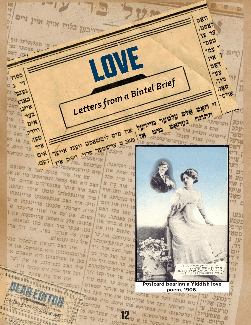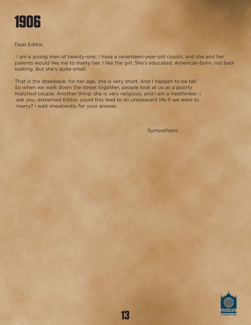

Dear Editor,

 I am a young man of twenty-one; I have a seventeen-year-old cousin, and she and her parents would like me to marry her. I like the girl. She's educated, American-born, not badlooking. But she's quite small.

That is the drawback: for her age, she is very short. And I happen to be tall. So when we walk down the street together, people look at us as a poorly matched couple. Another thing: she is very religious, and I am a freethinker. I ask you, esteemed Editor, could this lead to an unpleasant life if we were to marry? I wait impatiently for your answer.

Sympathetic

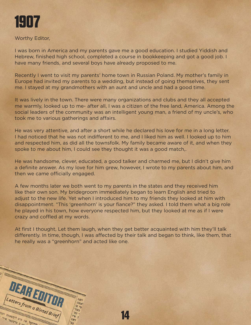

DEAR ED

etters from a Bintel Brief

## Worthy Editor,

I was born in America and my parents gave me a good education. I studied Yiddish and Hebrew, finished high school, completed a course in bookkeeping and got a good job. I have many friends, and several boys have already proposed to me.

Recently I went to visit my parents' home town in Russian Poland. My mother's family in Europe had invited my parents to a wedding, but instead of going themselves, they sent me. I stayed at my grandmothers with an aunt and uncle and had a good time.

It was lively in the town. There were many organizations and clubs and they all accepted me warmly, looked up to me- after all, I was a citizen of the free land, America. Among the social leaders of the community was an intelligent young man, a friend of my uncle's, who took me to various gatherings and affairs.

He was very attentive, and after a short while he declared his love for me in a long letter. I had noticed that he was not indifferent to me, and I liked him as well. I looked up to him and respected him, as did all the townsfolk. My family became aware of it, and when they spoke to me about him, I could see they thought it was a good match,.

He was handsome, clever, educated, a good talker and charmed me, but I didn't give him a definite answer. As my love for him grew, however, I wrote to my parents about him, and then we came officially engaged.

A few months later we both went to my parents in the states and they received him like their own son. My bridegroom immediately began to learn English and tried to adjust to the new life. Yet when I introduced him to my friends they looked at him with disappointment. "This 'greenhorn' is your fiance?" they asked. I told them what a big role he played in his town, how everyone respected him, but they looked at me as if I were crazy and coffled at my words.

At first I thought, Let them laugh, when they get better acquainted with him they'll talk differently. In time, though, I was affected by their talk and began to think, like them, that he really was a "greenhorn" and acted like one.

**14**